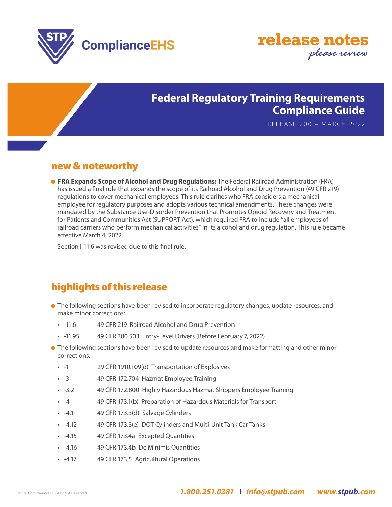



## **Federal Regulatory Training Requirements Compliance Guide**

RELEASE 200 – MARCH 2022

### new & noteworthy

**• FRA Expands Scope of Alcohol and Drug Regulations:** The Federal Railroad Administration (FRA) has issued a final rule that expands the scope of its Railroad Alcohol and Drug Prevention (49 CFR 219) regulations to cover mechanical employees. This rule clarifies who FRA considers a mechanical employee for regulatory purposes and adopts various technical amendments. These changes were mandated by the Substance Use-Disorder Prevention that Promotes Opioid Recovery and Treatment for Patients and Communities Act (SUPPORT Act), which required FRA to include "all employees of railroad carriers who perform mechanical activities" in its alcohol and drug regulation. This rule became effective March 4, 2022.

Section I-11.6 was revised due to this final rule.

# highlights of this release

- **The following sections have been revised to incorporate regulatory changes, update resources, and** make minor corrections:
	- I-11.6 49 CFR 219 Railroad Alcohol and Drug Prevention
	- I-11.95 49 CFR 380.503 Entry-Level Drivers (Before February 7, 2022)
- **•** The following sections have been revised to update resources and make formatting and other minor corrections:
	- I-1 29 CFR 1910.109(d) Transportation of Explosives
	- I-3 49 CFR 172.704 Hazmat Employee Training
	- I-3.2 49 CFR 172.800 Highly Hazardous Hazmat Shippers Employee Training
	- I-4 49 CFR 173.1(b) Preparation of Hazardous Materials for Transport
	- I-4.1 49 CFR 173.3(d) Salvage Cylinders
	- I-4.12 49 CFR 173.3(e) DOT Cylinders and Multi-Unit Tank Car Tanks
	- I-4.15 49 CFR 173.4a Excepted Quantities
	- • I-4.16 49 CFR 173.4b De Minimis Quantities
	- I-4.17 49 CFR 173.5 Agricultural Operations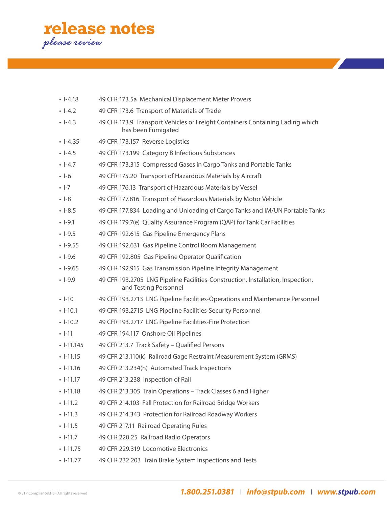

| $\cdot$ 1-4.18  | 49 CFR 173.5a Mechanical Displacement Meter Provers                                                      |
|-----------------|----------------------------------------------------------------------------------------------------------|
| $-4.2$          | 49 CFR 173.6 Transport of Materials of Trade                                                             |
| $\cdot$ -4.3    | 49 CFR 173.9 Transport Vehicles or Freight Containers Containing Lading which<br>has been Fumigated      |
| $\cdot$ 1-4.35  | 49 CFR 173.157 Reverse Logistics                                                                         |
| $\cdot$ -4.5    | 49 CFR 173.199 Category B Infectious Substances                                                          |
| $\cdot$ -4.7    | 49 CFR 173.315 Compressed Gases in Cargo Tanks and Portable Tanks                                        |
| $\cdot$ -6      | 49 CFR 175.20 Transport of Hazardous Materials by Aircraft                                               |
| $-1-7$          | 49 CFR 176.13 Transport of Hazardous Materials by Vessel                                                 |
| $\cdot$ -8      | 49 CFR 177.816 Transport of Hazardous Materials by Motor Vehicle                                         |
| $\cdot$ 1-8.5   | 49 CFR 177.834 Loading and Unloading of Cargo Tanks and IM/UN Portable Tanks                             |
| $\cdot$ 1-9.1   | 49 CFR 179.7(e) Quality Assurance Program (QAP) for Tank Car Facilities                                  |
| $-1-9.5$        | 49 CFR 192.615 Gas Pipeline Emergency Plans                                                              |
| $\cdot$ 1-9.55  | 49 CFR 192.631 Gas Pipeline Control Room Management                                                      |
| $-1-9.6$        | 49 CFR 192.805 Gas Pipeline Operator Qualification                                                       |
| $\cdot$ 1-9.65  | 49 CFR 192.915 Gas Transmission Pipeline Integrity Management                                            |
| $-9.9$          | 49 CFR 193.2705 LNG Pipeline Facilities-Construction, Installation, Inspection,<br>and Testing Personnel |
| $\cdot$ -10     | 49 CFR 193.2713 LNG Pipeline Facilities-Operations and Maintenance Personnel                             |
| $\cdot$ -10.1   | 49 CFR 193.2715 LNG Pipeline Facilities-Security Personnel                                               |
| $\cdot$ -10.2   | 49 CFR 193.2717 LNG Pipeline Facilities-Fire Protection                                                  |
| $\cdot$ -11     | 49 CFR 194.117 Onshore Oil Pipelines                                                                     |
| $\cdot$ -11.145 | 49 CFR 213.7 Track Safety - Qualified Persons                                                            |
| $\cdot$ 1-11.15 | 49 CFR 213.110(k) Railroad Gage Restraint Measurement System (GRMS)                                      |
| $\cdot$ -11.16  | 49 CFR 213.234(h) Automated Track Inspections                                                            |
| $-11.17$        | 49 CFR 213.238 Inspection of Rail                                                                        |
| $\cdot$ 1-11.18 | 49 CFR 213.305 Train Operations - Track Classes 6 and Higher                                             |
| $-11.2$         | 49 CFR 214.103 Fall Protection for Railroad Bridge Workers                                               |
| $\cdot$ -11.3   | 49 CFR 214.343 Protection for Railroad Roadway Workers                                                   |
| $\cdot$ -11.5   | 49 CFR 217.11 Railroad Operating Rules                                                                   |
| $\cdot$ -11.7   | 49 CFR 220.25 Railroad Radio Operators                                                                   |
| $\cdot$ 1-11.75 | 49 CFR 229.319 Locomotive Electronics                                                                    |
| $-11.77$        | 49 CFR 232.203 Train Brake System Inspections and Tests                                                  |